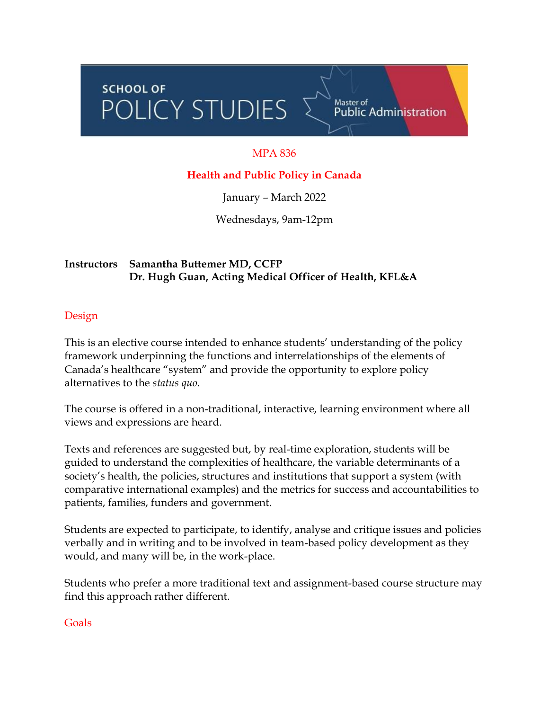# SCHOOL OF<br>POLICY STUDIES **SCHOOL OF**

# MPA 836

Master of<br>Public Administration

## **Health and Public Policy in Canada**

January – March 2022

Wednesdays, 9am-12pm

## **Instructors Samantha Buttemer MD, CCFP Dr. Hugh Guan, Acting Medical Officer of Health, KFL&A**

#### Design

This is an elective course intended to enhance students' understanding of the policy framework underpinning the functions and interrelationships of the elements of Canada's healthcare "system" and provide the opportunity to explore policy alternatives to the *status quo.*

The course is offered in a non-traditional, interactive, learning environment where all views and expressions are heard.

Texts and references are suggested but, by real-time exploration, students will be guided to understand the complexities of healthcare, the variable determinants of a society's health, the policies, structures and institutions that support a system (with comparative international examples) and the metrics for success and accountabilities to patients, families, funders and government.

Students are expected to participate, to identify, analyse and critique issues and policies verbally and in writing and to be involved in team-based policy development as they would, and many will be, in the work-place.

Students who prefer a more traditional text and assignment-based course structure may find this approach rather different.

#### Goals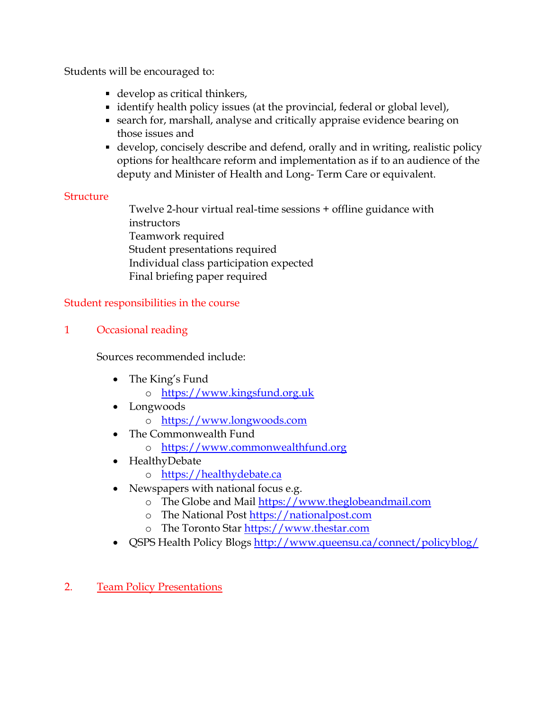Students will be encouraged to:

- develop as critical thinkers,
- identify health policy issues (at the provincial, federal or global level),
- search for, marshall, analyse and critically appraise evidence bearing on those issues and
- develop, concisely describe and defend, orally and in writing, realistic policy options for healthcare reform and implementation as if to an audience of the deputy and Minister of Health and Long- Term Care or equivalent.

#### **Structure**

Twelve 2-hour virtual real-time sessions + offline guidance with instructors Teamwork required Student presentations required Individual class participation expected Final briefing paper required

## Student responsibilities in the course

# 1 Occasional reading

Sources recommended include:

- The King's Fund
	- o [https://www.kingsfund.org.uk](https://www.kingsfund.org.uk/)
- Longwoods
	- o [https://www.longwoods.com](https://www.longwoods.com/)
- The Commonwealth Fund
	- o [https://www.commonwealthfund.org](https://www.commonwealthfund.org/)
- HealthyDebate
	- o [https://healthydebate.ca](https://healthydebate.ca/)
- Newspapers with national focus e.g.
	- o The Globe and Mail [https://www.theglobeandmail.com](https://www.theglobeandmail.com/)
	- o The National Post [https://nationalpost.com](https://nationalpost.com/)
	- o The Toronto Star [https://www.thestar.com](https://www.thestar.com/)
- QSPS Health Policy Blogs <http://www.queensu.ca/connect/policyblog/>
- 2. Team Policy Presentations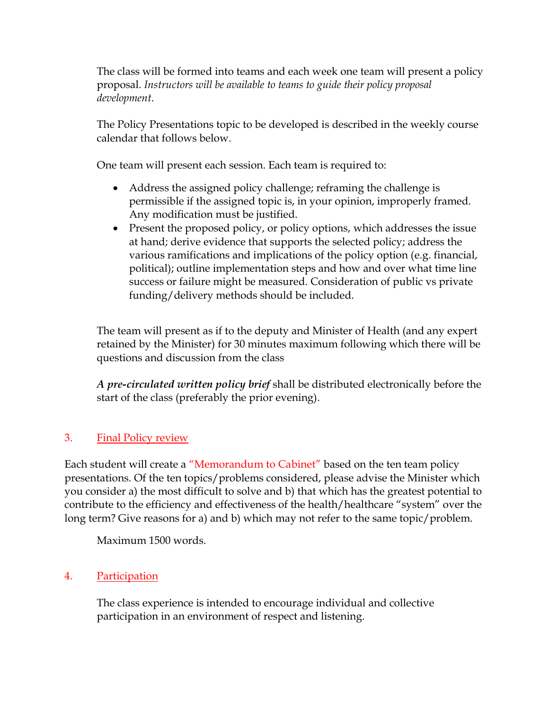The class will be formed into teams and each week one team will present a policy proposal. *Instructors will be available to teams to guide their policy proposal development*.

The Policy Presentations topic to be developed is described in the weekly course calendar that follows below.

One team will present each session. Each team is required to:

- Address the assigned policy challenge; reframing the challenge is permissible if the assigned topic is, in your opinion, improperly framed. Any modification must be justified.
- Present the proposed policy, or policy options, which addresses the issue at hand; derive evidence that supports the selected policy; address the various ramifications and implications of the policy option (e.g. financial, political); outline implementation steps and how and over what time line success or failure might be measured. Consideration of public vs private funding/delivery methods should be included.

The team will present as if to the deputy and Minister of Health (and any expert retained by the Minister) for 30 minutes maximum following which there will be questions and discussion from the class

*A pre-circulated written policy brief* shall be distributed electronically before the start of the class (preferably the prior evening).

# 3. Final Policy review

Each student will create a "Memorandum to Cabinet" based on the ten team policy presentations. Of the ten topics/problems considered, please advise the Minister which you consider a) the most difficult to solve and b) that which has the greatest potential to contribute to the efficiency and effectiveness of the health/healthcare "system" over the long term? Give reasons for a) and b) which may not refer to the same topic/problem.

Maximum 1500 words.

# 4. Participation

The class experience is intended to encourage individual and collective participation in an environment of respect and listening.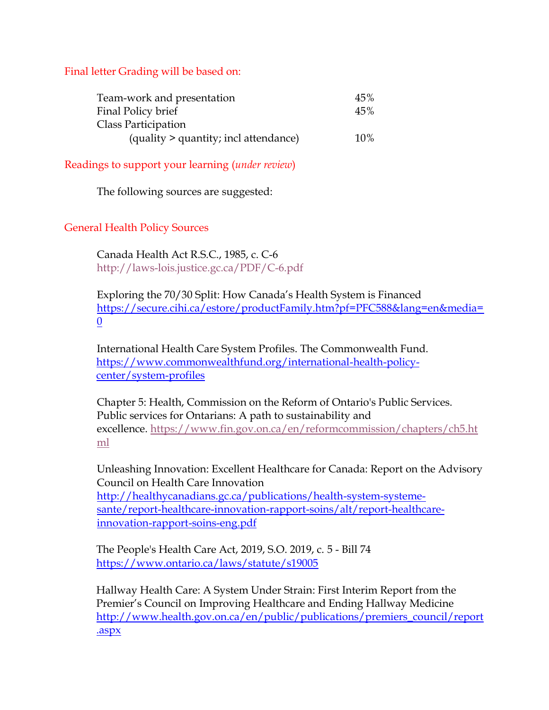Final letter Grading will be based on:

| Team-work and presentation            | 45% |
|---------------------------------------|-----|
| Final Policy brief                    | 45% |
| Class Participation                   |     |
| (quality > quantity; incl attendance) | 10% |

Readings to support your learning (*under review*)

The following sources are suggested:

#### General Health Policy Sources

Canada Health Act R.S.C., 1985, c. C-6 [http://laws-lois.justice.gc.ca/PDF/C-6.pdf](https://can01.safelinks.protection.outlook.com/?url=http%3A%2F%2Flaws-lois.justice.gc.ca%2FPDF%2FC-6.pdf&data=02%7C01%7Cdavid.walker%40queensu.ca%7C9fb1ff2b2b3c4c2b329808d762e5a89c%7Cd61ecb3b38b142d582c4efb2838b925c%7C1%7C0%7C637086610821506089&sdata=OKuANjijw5pfHHvkQV11RPXC1BrXf4bIpsH2ahGpOaY%3D&reserved=0)

Exploring the 70/30 Split: How Canada's Health System is Financed [https://secure.cihi.ca/estore/productFamily.htm?pf=PFC588&lang=en&media=](https://secure.cihi.ca/estore/productFamily.htm?pf=PFC588&lang=en&media=0) [0](https://secure.cihi.ca/estore/productFamily.htm?pf=PFC588&lang=en&media=0)

International Health Care System Profiles. The Commonwealth Fund. [https://www.commonwealthfund.org/international-health-policy](https://www.commonwealthfund.org/international-health-policy-center/system-profiles)[center/system-profiles](https://www.commonwealthfund.org/international-health-policy-center/system-profiles)

Chapter 5: Health, Commission on the Reform of Ontario's Public Services. Public services for Ontarians: A path to sustainability and excellence. [https://www.fin.gov.on.ca/en/reformcommission/chapters/ch5.ht](https://can01.safelinks.protection.outlook.com/?url=https%3A%2F%2Fwww.fin.gov.on.ca%2Fen%2Freformcommission%2Fchapters%2Fch5.html&data=02%7C01%7Cdavid.walker%40queensu.ca%7C9fb1ff2b2b3c4c2b329808d762e5a89c%7Cd61ecb3b38b142d582c4efb2838b925c%7C1%7C0%7C637086610821516085&sdata=7VkZqVE2%2FcK9ftA5pszzAx3JIqpsod1dAQecpOpsFCI%3D&reserved=0) [ml](https://can01.safelinks.protection.outlook.com/?url=https%3A%2F%2Fwww.fin.gov.on.ca%2Fen%2Freformcommission%2Fchapters%2Fch5.html&data=02%7C01%7Cdavid.walker%40queensu.ca%7C9fb1ff2b2b3c4c2b329808d762e5a89c%7Cd61ecb3b38b142d582c4efb2838b925c%7C1%7C0%7C637086610821516085&sdata=7VkZqVE2%2FcK9ftA5pszzAx3JIqpsod1dAQecpOpsFCI%3D&reserved=0)

Unleashing Innovation: Excellent Healthcare for Canada: Report on the Advisory Council on Health Care Innovation [http://healthycanadians.gc.ca/publications/health-system-systeme](http://healthycanadians.gc.ca/publications/health-system-systeme-sante/report-healthcare-innovation-rapport-soins/alt/report-healthcare-innovation-rapport-soins-eng.pdf)[sante/report-healthcare-innovation-rapport-soins/alt/report-healthcare](http://healthycanadians.gc.ca/publications/health-system-systeme-sante/report-healthcare-innovation-rapport-soins/alt/report-healthcare-innovation-rapport-soins-eng.pdf)[innovation-rapport-soins-eng.pdf](http://healthycanadians.gc.ca/publications/health-system-systeme-sante/report-healthcare-innovation-rapport-soins/alt/report-healthcare-innovation-rapport-soins-eng.pdf)

The People's Health Care Act, 2019, S.O. 2019, c. 5 - Bill 74 <https://www.ontario.ca/laws/statute/s19005>

Hallway Health Care: A System Under Strain: First Interim Report from the Premier's Council on Improving Healthcare and Ending Hallway Medicine [http://www.health.gov.on.ca/en/public/publications/premiers\\_council/report](http://www.health.gov.on.ca/en/public/publications/premiers_council/report.aspx) [.aspx](http://www.health.gov.on.ca/en/public/publications/premiers_council/report.aspx)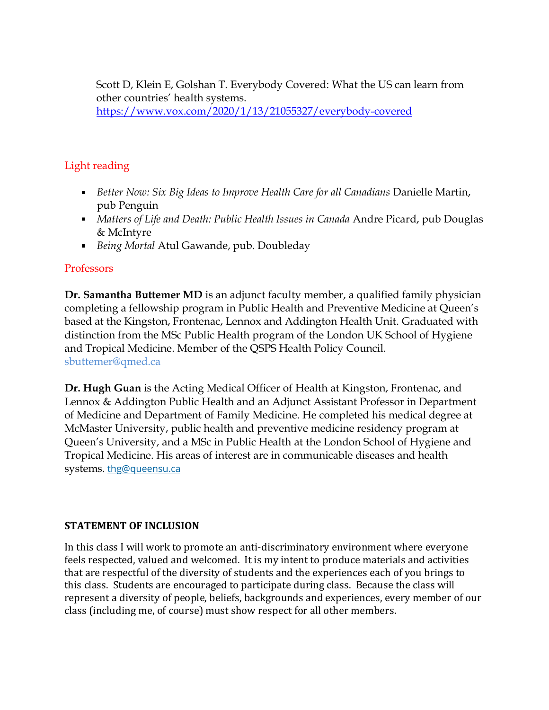Scott D, Klein E, Golshan T. Everybody Covered: What the US can learn from other countries' health systems.

<https://www.vox.com/2020/1/13/21055327/everybody-covered>

## Light reading

- *Better Now: Six Big Ideas to Improve Health Care for all Canadians* Danielle Martin, pub Penguin
- *Matters of Life and Death: Public Health Issues in Canada* Andre Picard, pub Douglas & McIntyre
- *Being Mortal* Atul Gawande, pub. Doubleday

#### **Professors**

**Dr. Samantha Buttemer MD** is an adjunct faculty member, a qualified family physician completing a fellowship program in Public Health and Preventive Medicine at Queen's based at the Kingston, Frontenac, Lennox and Addington Health Unit. Graduated with distinction from the MSc Public Health program of the London UK School of Hygiene and Tropical Medicine. Member of the QSPS Health Policy Council. sbuttemer@qmed.ca

**Dr. Hugh Guan** is the Acting Medical Officer of Health at Kingston, Frontenac, and Lennox & Addington Public Health and an Adjunct Assistant Professor in Department of Medicine and Department of Family Medicine. He completed his medical degree at McMaster University, public health and preventive medicine residency program at Queen's University, and a MSc in Public Health at the London School of Hygiene and Tropical Medicine. His areas of interest are in communicable diseases and health systems. [thg@queensu.ca](mailto:thg@queensu.ca)

#### **STATEMENT OF INCLUSION**

In this class I will work to promote an anti-discriminatory environment where everyone feels respected, valued and welcomed. It is my intent to produce materials and activities that are respectful of the diversity of students and the experiences each of you brings to this class. Students are encouraged to participate during class. Because the class will represent a diversity of people, beliefs, backgrounds and experiences, every member of our class (including me, of course) must show respect for all other members.